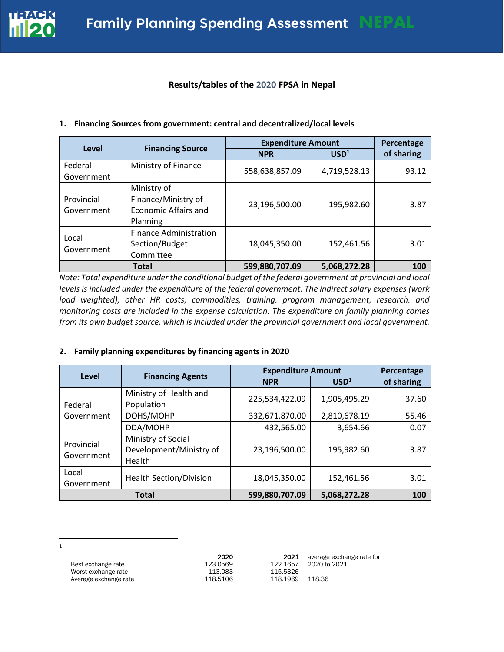

## **Results/tables of the 2020 FPSA in Nepal**

| Level                    | <b>Financing Source</b>                                                       | <b>Expenditure Amount</b> |                  | Percentage |
|--------------------------|-------------------------------------------------------------------------------|---------------------------|------------------|------------|
|                          |                                                                               | <b>NPR</b>                | USD <sup>1</sup> | of sharing |
| Federal<br>Government    | Ministry of Finance                                                           | 558,638,857.09            | 4,719,528.13     | 93.12      |
| Provincial<br>Government | Ministry of<br>Finance/Ministry of<br><b>Economic Affairs and</b><br>Planning | 23,196,500.00             | 195,982.60       | 3.87       |
| Local<br>Government      | <b>Finance Administration</b><br>Section/Budget<br>Committee                  | 18,045,350.00             | 152,461.56       | 3.01       |
|                          | <b>Total</b>                                                                  | 599,880,707.09            | 5,068,272.28     | 100        |

#### **1. Financing Sources from government: central and decentralized/local levels**

*Note: Total expenditure under the conditional budget of the federal government at provincial and local levels is included under the expenditure of the federal government. The indirect salary expenses (work load weighted), other HR costs, commodities, training, program management, research, and monitoring costs are included in the expense calculation. The expenditure on family planning comes from its own budget source, which is included under the provincial government and local government.*

## **2. Family planning expenditures by financing agents in 2020**

| Level                    | <b>Financing Agents</b>                                 | <b>Expenditure Amount</b> |                  | Percentage |
|--------------------------|---------------------------------------------------------|---------------------------|------------------|------------|
|                          |                                                         | <b>NPR</b>                | USD <sup>1</sup> | of sharing |
| Federal                  | Ministry of Health and<br>Population                    | 225,534,422.09            | 1,905,495.29     | 37.60      |
| Government               | DOHS/MOHP                                               | 332,671,870.00            | 2,810,678.19     | 55.46      |
|                          | DDA/MOHP                                                | 432,565.00                | 3,654.66         | 0.07       |
| Provincial<br>Government | Ministry of Social<br>Development/Ministry of<br>Health | 23,196,500.00             | 195,982.60       | 3.87       |
| Local<br>Government      | <b>Health Section/Division</b>                          | 18,045,350.00             | 152,461.56       | 3.01       |
| <b>Total</b>             |                                                         | 599,880,707.09            | 5,068,272.28     | 100        |

1

|                       | zuzu     |          | <b>ZUZI</b> average excha |
|-----------------------|----------|----------|---------------------------|
| Best exchange rate    | 123.0569 | 122.1657 | 2020 to 2021              |
| Worst exchange rate   | 113.083  | 115.5326 |                           |
| Average exchange rate | 118.5106 | 118.1969 | 118.36                    |

2020 **2021** average exchange rate for 115.5326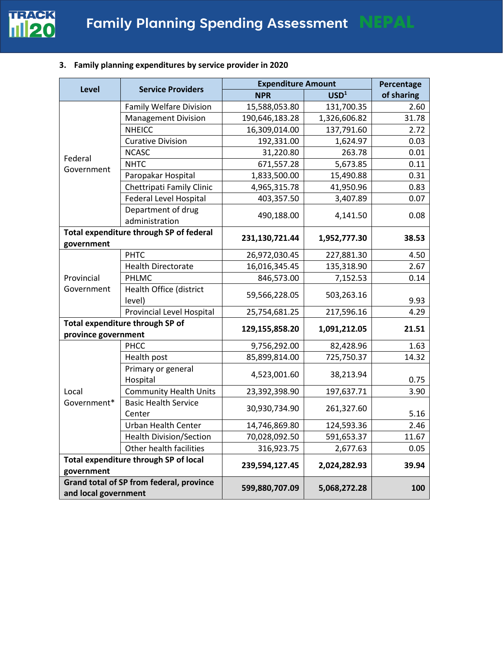

## **3. Family planning expenditures by service provider in 2020**

| <b>Level</b><br><b>Service Providers</b>                                |                                         | <b>Expenditure Amount</b> |                  | Percentage |
|-------------------------------------------------------------------------|-----------------------------------------|---------------------------|------------------|------------|
|                                                                         |                                         | <b>NPR</b>                | USD <sup>1</sup> | of sharing |
|                                                                         | <b>Family Welfare Division</b>          | 15,588,053.80             | 131,700.35       | 2.60       |
|                                                                         | <b>Management Division</b>              | 190,646,183.28            | 1,326,606.82     | 31.78      |
|                                                                         | <b>NHEICC</b>                           | 16,309,014.00             | 137,791.60       | 2.72       |
|                                                                         | <b>Curative Division</b>                | 192,331.00                | 1,624.97         | 0.03       |
| Federal                                                                 | <b>NCASC</b>                            | 31,220.80                 | 263.78           | 0.01       |
| Government                                                              | <b>NHTC</b>                             | 671,557.28                | 5,673.85         | 0.11       |
|                                                                         | Paropakar Hospital                      | 1,833,500.00              | 15,490.88        | 0.31       |
|                                                                         | Chettripati Family Clinic               | 4,965,315.78              | 41,950.96        | 0.83       |
|                                                                         | <b>Federal Level Hospital</b>           | 403,357.50                | 3,407.89         | 0.07       |
|                                                                         | Department of drug<br>administration    | 490,188.00                | 4,141.50         | 0.08       |
| government                                                              | Total expenditure through SP of federal | 231,130,721.44            | 1,952,777.30     | 38.53      |
|                                                                         | <b>PHTC</b>                             | 26,972,030.45             | 227,881.30       | 4.50       |
|                                                                         | <b>Health Directorate</b>               | 16,016,345.45             | 135,318.90       | 2.67       |
| Provincial                                                              | <b>PHLMC</b>                            | 846,573.00                | 7,152.53         | 0.14       |
| Government                                                              | Health Office (district<br>level)       | 59,566,228.05             | 503,263.16       | 9.93       |
|                                                                         | <b>Provincial Level Hospital</b>        | 25,754,681.25             | 217,596.16       | 4.29       |
| province government                                                     | Total expenditure through SP of         | 129,155,858.20            | 1,091,212.05     | 21.51      |
|                                                                         | PHCC                                    | 9,756,292.00              | 82,428.96        | 1.63       |
|                                                                         | Health post                             | 85,899,814.00             | 725,750.37       | 14.32      |
|                                                                         | Primary or general<br>Hospital          | 4,523,001.60              | 38,213.94        | 0.75       |
| Local                                                                   | <b>Community Health Units</b>           | 23,392,398.90             | 197,637.71       | 3.90       |
| Government*                                                             | <b>Basic Health Service</b><br>Center   | 30,930,734.90             | 261,327.60       | 5.16       |
|                                                                         | <b>Urban Health Center</b>              | 14,746,869.80             | 124,593.36       | 2.46       |
|                                                                         | <b>Health Division/Section</b>          | 70,028,092.50             | 591,653.37       | 11.67      |
|                                                                         | Other health facilities                 | 316,923.75                | 2,677.63         | 0.05       |
| Total expenditure through SP of local<br>government                     |                                         | 239,594,127.45            | 2,024,282.93     | 39.94      |
| <b>Grand total of SP from federal, province</b><br>and local government |                                         | 599,880,707.09            | 5,068,272.28     | 100        |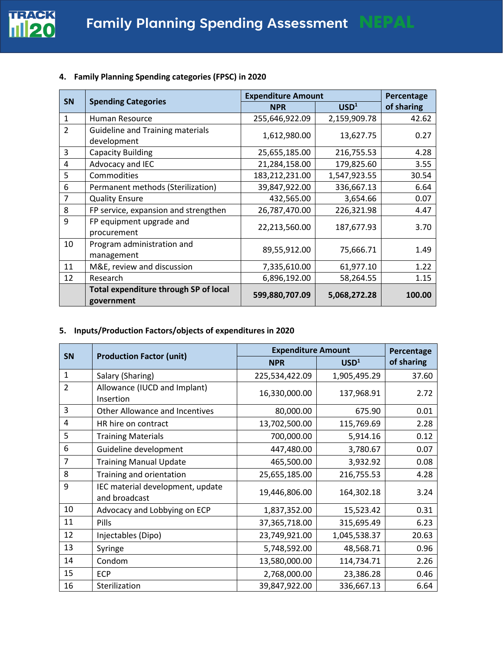

# **4. Family Planning Spending categories (FPSC) in 2020**

|                |                                                            | <b>Expenditure Amount</b> |                  | Percentage |
|----------------|------------------------------------------------------------|---------------------------|------------------|------------|
| <b>SN</b>      | <b>Spending Categories</b>                                 | <b>NPR</b>                | USD <sup>1</sup> | of sharing |
| $\mathbf{1}$   | Human Resource                                             | 255,646,922.09            | 2,159,909.78     | 42.62      |
| $\overline{2}$ | <b>Guideline and Training materials</b><br>development     | 1,612,980.00              | 13,627.75        | 0.27       |
| 3              | <b>Capacity Building</b>                                   | 25,655,185.00             | 216,755.53       | 4.28       |
| 4              | Advocacy and IEC                                           | 21,284,158.00             | 179,825.60       | 3.55       |
| 5              | Commodities                                                | 183,212,231.00            | 1,547,923.55     | 30.54      |
| 6              | Permanent methods (Sterilization)                          | 39,847,922.00             | 336,667.13       | 6.64       |
| 7              | <b>Quality Ensure</b>                                      | 432,565.00                | 3,654.66         | 0.07       |
| 8              | FP service, expansion and strengthen                       | 26,787,470.00             | 226,321.98       | 4.47       |
| 9              | FP equipment upgrade and<br>procurement                    | 22,213,560.00             | 187,677.93       | 3.70       |
| 10             | Program administration and<br>management                   | 89,55,912.00              | 75,666.71        | 1.49       |
| 11             | M&E, review and discussion                                 | 7,335,610.00              | 61,977.10        | 1.22       |
| 12             | Research                                                   | 6,896,192.00              | 58,264.55        | 1.15       |
|                | <b>Total expenditure through SP of local</b><br>government | 599,880,707.09            | 5,068,272.28     | 100.00     |

# **5. Inputs/Production Factors/objects of expenditures in 2020**

|                | <b>Production Factor (unit)</b>                   | <b>Expenditure Amount</b> |                  | Percentage |
|----------------|---------------------------------------------------|---------------------------|------------------|------------|
| <b>SN</b>      |                                                   | <b>NPR</b>                | USD <sup>1</sup> | of sharing |
| $\mathbf{1}$   | Salary (Sharing)                                  | 225,534,422.09            | 1,905,495.29     | 37.60      |
| $\overline{2}$ | Allowance (IUCD and Implant)<br>Insertion         | 16,330,000.00             | 137,968.91       | 2.72       |
| 3              | <b>Other Allowance and Incentives</b>             | 80,000.00                 | 675.90           | 0.01       |
| 4              | HR hire on contract                               | 13,702,500.00             | 115,769.69       | 2.28       |
| 5              | <b>Training Materials</b>                         | 700,000.00                | 5,914.16         | 0.12       |
| 6              | Guideline development                             | 447,480.00                | 3,780.67         | 0.07       |
| $\overline{7}$ | <b>Training Manual Update</b>                     | 465,500.00                | 3,932.92         | 0.08       |
| 8              | Training and orientation                          | 25,655,185.00             | 216,755.53       | 4.28       |
| 9              | IEC material development, update<br>and broadcast | 19,446,806.00             | 164,302.18       | 3.24       |
| 10             | Advocacy and Lobbying on ECP                      | 1,837,352.00              | 15,523.42        | 0.31       |
| 11             | <b>Pills</b>                                      | 37,365,718.00             | 315,695.49       | 6.23       |
| 12             | Injectables (Dipo)                                | 23,749,921.00             | 1,045,538.37     | 20.63      |
| 13             | Syringe                                           | 5,748,592.00              | 48,568.71        | 0.96       |
| 14             | Condom                                            | 13,580,000.00             | 114,734.71       | 2.26       |
| 15             | <b>ECP</b>                                        | 2,768,000.00              | 23,386.28        | 0.46       |
| 16             | Sterilization                                     | 39,847,922.00             | 336,667.13       | 6.64       |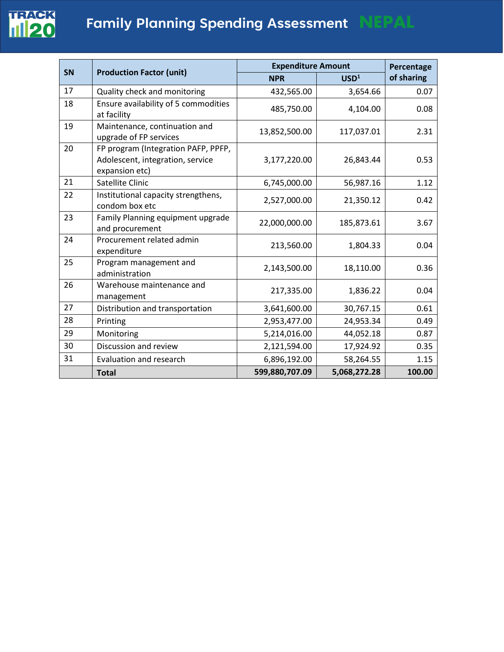

# **Family Planning Spending Assessment NEPAL**

| <b>SN</b> |                                                                                           | <b>Expenditure Amount</b> |                  | Percentage |
|-----------|-------------------------------------------------------------------------------------------|---------------------------|------------------|------------|
|           | <b>Production Factor (unit)</b>                                                           | <b>NPR</b>                | USD <sup>1</sup> | of sharing |
| 17        | Quality check and monitoring                                                              | 432,565.00                | 3,654.66         | 0.07       |
| 18        | Ensure availability of 5 commodities<br>at facility                                       | 485,750.00                | 4,104.00         | 0.08       |
| 19        | Maintenance, continuation and<br>upgrade of FP services                                   | 13,852,500.00             | 117,037.01       | 2.31       |
| 20        | FP program (Integration PAFP, PPFP,<br>Adolescent, integration, service<br>expansion etc) | 3,177,220.00              | 26,843.44        | 0.53       |
| 21        | <b>Satellite Clinic</b>                                                                   | 6,745,000.00              | 56,987.16        | 1.12       |
| 22        | Institutional capacity strengthens,<br>condom box etc                                     | 2,527,000.00              | 21,350.12        | 0.42       |
| 23        | Family Planning equipment upgrade<br>and procurement                                      | 22,000,000.00             | 185,873.61       | 3.67       |
| 24        | Procurement related admin<br>expenditure                                                  | 213,560.00                | 1,804.33         | 0.04       |
| 25        | Program management and<br>administration                                                  | 2,143,500.00              | 18,110.00        | 0.36       |
| 26        | Warehouse maintenance and<br>management                                                   | 217,335.00                | 1,836.22         | 0.04       |
| 27        | Distribution and transportation                                                           | 3,641,600.00              | 30,767.15        | 0.61       |
| 28        | Printing                                                                                  | 2,953,477.00              | 24,953.34        | 0.49       |
| 29        | Monitoring                                                                                | 5,214,016.00              | 44,052.18        | 0.87       |
| 30        | Discussion and review                                                                     | 2,121,594.00              | 17,924.92        | 0.35       |
| 31        | <b>Evaluation and research</b>                                                            | 6,896,192.00              | 58,264.55        | 1.15       |
|           | <b>Total</b>                                                                              | 599,880,707.09            | 5,068,272.28     | 100.00     |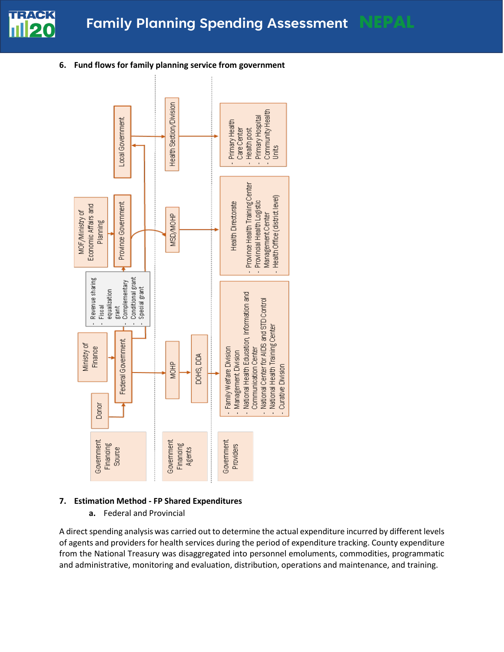

**6. Fund flows for family planning service from government**



## **7. Estimation Method - FP Shared Expenditures**

**a.** Federal and Provincial

A direct spending analysis was carried out to determine the actual expenditure incurred by different levels of agents and providers for health services during the period of expenditure tracking. County expenditure from the National Treasury was disaggregated into personnel emoluments, commodities, programmatic and administrative, monitoring and evaluation, distribution, operations and maintenance, and training.